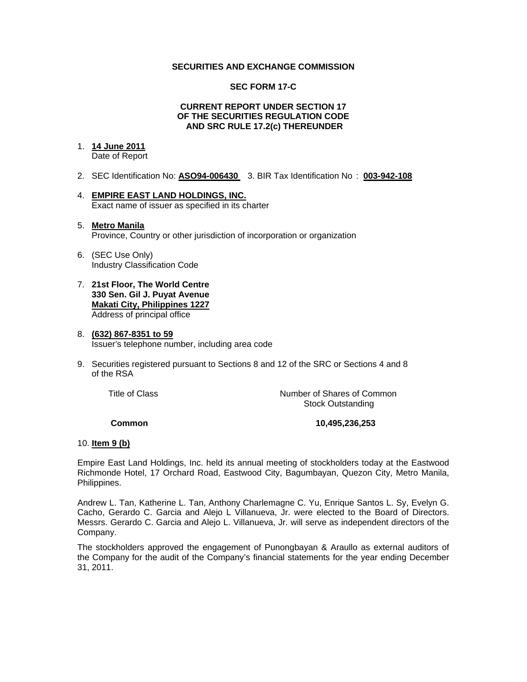# **SECURITIES AND EXCHANGE COMMISSION**

#### **SEC FORM 17-C**

#### **CURRENT REPORT UNDER SECTION 17 OF THE SECURITIES REGULATION CODE AND SRC RULE 17.2(c) THEREUNDER**

# 1. **14 June 2011**

Date of Report

- 2. SEC Identification No: **ASO94-006430** 3. BIR Tax Identification No : **003-942-108**
- 4. **EMPIRE EAST LAND HOLDINGS, INC.** Exact name of issuer as specified in its charter

#### 5. **Metro Manila** Province, Country or other jurisdiction of incorporation or organization

- 6. (SEC Use Only) Industry Classification Code
- 7. **21st Floor, The World Centre 330 Sen. Gil J. Puyat Avenue Makati City, Philippines 1227** Address of principal office

#### 8. **(632) 867-8351 to 59** Issuer's telephone number, including area code

9. Securities registered pursuant to Sections 8 and 12 of the SRC or Sections 4 and 8 of the RSA

 Title of ClassNumber of Shares of Common Stock Outstanding

# **Common 10,495,236,253**

# 10. **Item 9 (b)**

Empire East Land Holdings, Inc. held its annual meeting of stockholders today at the Eastwood Richmonde Hotel, 17 Orchard Road, Eastwood City, Bagumbayan, Quezon City, Metro Manila, Philippines.

Andrew L. Tan, Katherine L. Tan, Anthony Charlemagne C. Yu, Enrique Santos L. Sy, Evelyn G. Cacho, Gerardo C. Garcia and Alejo L Villanueva, Jr. were elected to the Board of Directors. Messrs. Gerardo C. Garcia and Alejo L. Villanueva, Jr. will serve as independent directors of the Company.

The stockholders approved the engagement of Punongbayan & Araullo as external auditors of the Company for the audit of the Company's financial statements for the year ending December 31, 2011.